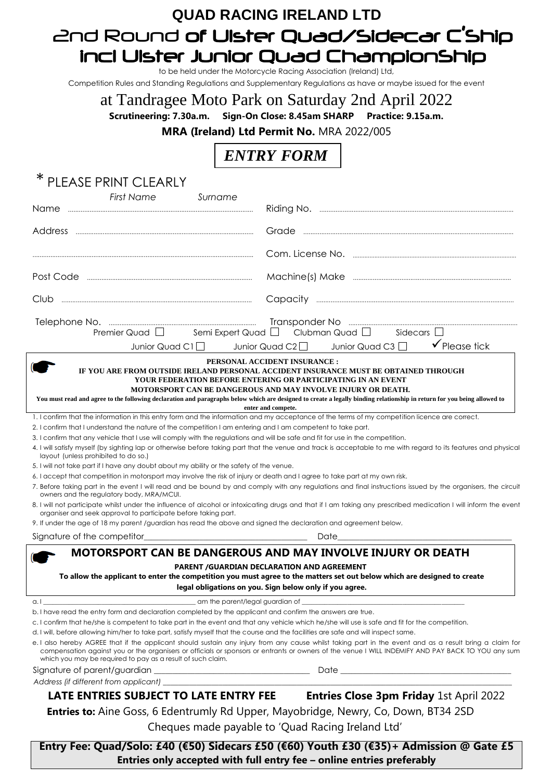## **QUAD RACING IRELAND LTD** 2nd Round of Ulster Quad/Sidecar C'Ship incl Ulster Junior Quad ChampionShip

to be held under the Motorcycle Racing Association (Ireland) Ltd,

Competition Rules and Standing Regulations and Supplementary Regulations as have or maybe issued for the event

## at Tandragee Moto Park on Saturday 2nd April 2022

**Scrutineering: 7.30a.m. Sign-On Close: 8.45am SHARP Practice: 9.15a.m.** 

**MRA (Ireland) Ltd Permit No.** MRA 2022/005

## *ENTRY FORM*

| ∗<br>PLEASE PRINT CLEARLY                                                                                                                                                                                                                                                                         |                                                                                                                                                                                                                                                                                                               |
|---------------------------------------------------------------------------------------------------------------------------------------------------------------------------------------------------------------------------------------------------------------------------------------------------|---------------------------------------------------------------------------------------------------------------------------------------------------------------------------------------------------------------------------------------------------------------------------------------------------------------|
| <b>First Name</b><br>Surname<br><b>Name</b>                                                                                                                                                                                                                                                       |                                                                                                                                                                                                                                                                                                               |
|                                                                                                                                                                                                                                                                                                   |                                                                                                                                                                                                                                                                                                               |
|                                                                                                                                                                                                                                                                                                   |                                                                                                                                                                                                                                                                                                               |
|                                                                                                                                                                                                                                                                                                   |                                                                                                                                                                                                                                                                                                               |
|                                                                                                                                                                                                                                                                                                   |                                                                                                                                                                                                                                                                                                               |
| Club                                                                                                                                                                                                                                                                                              |                                                                                                                                                                                                                                                                                                               |
| Junior Quad C1 $\Box$ Junior Quad C2 $\Box$                                                                                                                                                                                                                                                       | Premier Quad $\square$ Semi Expert Quad $\square$ Clubman Quad $\square$ Sidecars $\square$<br>$\checkmark$ Please tick<br>Junior Quad C3 $\Box$                                                                                                                                                              |
| PERSONAL ACCIDENT INSURANCE :                                                                                                                                                                                                                                                                     |                                                                                                                                                                                                                                                                                                               |
| IF YOU ARE FROM OUTSIDE IRELAND PERSONAL ACCIDENT INSURANCE MUST BE OBTAINED THROUGH<br>YOUR FEDERATION BEFORE ENTERING OR PARTICIPATING IN AN EVENT<br>MOTORSPORT CAN BE DANGEROUS AND MAY INVOLVE INJURY OR DEATH.                                                                              |                                                                                                                                                                                                                                                                                                               |
| You must read and agree to the following declaration and paragraphs below which are designed to create a legally binding relationship in return for you being allowed to<br>enter and compete.                                                                                                    |                                                                                                                                                                                                                                                                                                               |
| 1. I confirm that the information in this entry form and the information and my acceptance of the terms of my competition licence are correct.<br>2. I confirm that I understand the nature of the competition I am entering and I am competent to take part.                                     |                                                                                                                                                                                                                                                                                                               |
| 3. I confirm that any vehicle that I use will comply with the regulations and will be safe and fit for use in the competition.                                                                                                                                                                    |                                                                                                                                                                                                                                                                                                               |
| layout (unless prohibited to do so.)                                                                                                                                                                                                                                                              | 4. I will satisfy myself (by sighting lap or otherwise before taking part that the venue and track is acceptable to me with regard to its features and physical                                                                                                                                               |
| 5. I will not take part if I have any doubt about my ability or the safety of the venue.                                                                                                                                                                                                          |                                                                                                                                                                                                                                                                                                               |
| 6. I accept that competition in motorsport may involve the risk of injury or death and I agree to take part at my own risk.<br>owners and the regulatory body, MRA/MCUI.                                                                                                                          | 7. Before taking part in the event I will read and be bound by and comply with any regulations and final instructions issued by the organisers, the circuit                                                                                                                                                   |
| organiser and seek approval to participate before taking part.                                                                                                                                                                                                                                    | 8. I will not participate whilst under the influence of alcohol or intoxicating drugs and that if I am taking any prescribed medication I will inform the event                                                                                                                                               |
| 9. If under the age of 18 my parent /guardian has read the above and signed the declaration and agreement below.                                                                                                                                                                                  |                                                                                                                                                                                                                                                                                                               |
|                                                                                                                                                                                                                                                                                                   | Date                                                                                                                                                                                                                                                                                                          |
| MOTORSPORT CAN BE DANGEROUS AND MAY INVOLVE INJURY OR DEATH<br>PARENT / GUARDIAN DECLARATION AND AGREEMENT<br>To allow the applicant to enter the competition you must agree to the matters set out below which are designed to create<br>legal obligations on you. Sign below only if you agree. |                                                                                                                                                                                                                                                                                                               |
| a.l<br>b. I have read the entry form and declaration completed by the applicant and confirm the answers are true.                                                                                                                                                                                 |                                                                                                                                                                                                                                                                                                               |
| c. I confirm that he/she is competent to take part in the event and that any vehicle which he/she will use is safe and fit for the competition.                                                                                                                                                   |                                                                                                                                                                                                                                                                                                               |
| d. I will, before allowing him/her to take part, satisfy myself that the course and the facilities are safe and will inspect same.                                                                                                                                                                |                                                                                                                                                                                                                                                                                                               |
| which you may be required to pay as a result of such claim.                                                                                                                                                                                                                                       | e. I also hereby AGREE that if the applicant should sustain any injury from any cause whilst taking part in the event and as a result bring a claim for<br>compensation against you or the organisers or officials or sponsors or entrants or owners of the venue I WILL INDEMIFY AND PAY BACK TO YOU any sum |
|                                                                                                                                                                                                                                                                                                   |                                                                                                                                                                                                                                                                                                               |
|                                                                                                                                                                                                                                                                                                   |                                                                                                                                                                                                                                                                                                               |
|                                                                                                                                                                                                                                                                                                   | LATE ENTRIES SUBJECT TO LATE ENTRY FEE Entries Close 3pm Friday 1st April 2022                                                                                                                                                                                                                                |
| Entries to: Aine Goss, 6 Edentrumly Rd Upper, Mayobridge, Newry, Co, Down, BT34 2SD                                                                                                                                                                                                               |                                                                                                                                                                                                                                                                                                               |
| Cheques made payable to 'Quad Racing Ireland Ltd'                                                                                                                                                                                                                                                 |                                                                                                                                                                                                                                                                                                               |
| Entry Fee: Quad/Solo: £40 (€50) Sidecars £50 (€60) Youth £30 (€35)+ Admission @ Gate £5                                                                                                                                                                                                           |                                                                                                                                                                                                                                                                                                               |

**Entries only accepted with full entry fee – online entries preferably**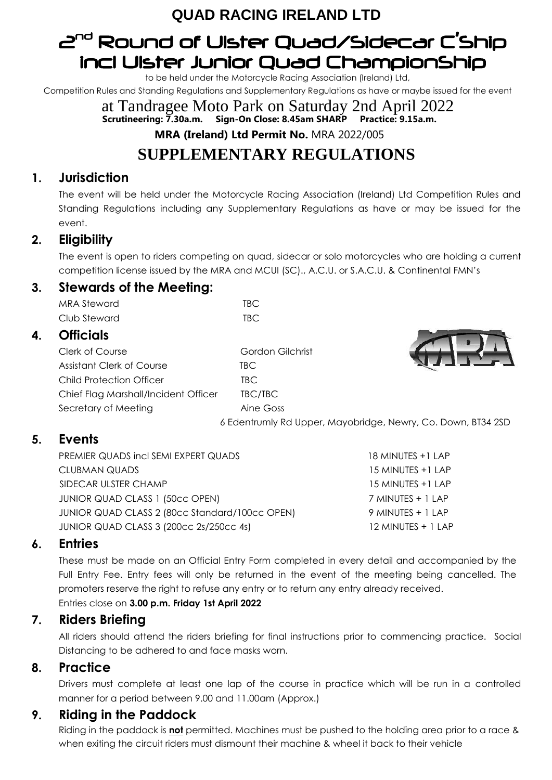## **QUAD RACING IRELAND LTD**

# 2 nd Round of Ulster Quad/Sidecar C'Ship incl Ulster Junior Quad ChampionShip

to be held under the Motorcycle Racing Association (Ireland) Ltd,

Competition Rules and Standing Regulations and Supplementary Regulations as have or maybe issued for the event

at Tandragee Moto Park on Saturday 2nd April 2022 **Scrutineering: 7.30a.m. Sign-On Close: 8.45am SHARP Practice: 9.15a.m. MRA (Ireland) Ltd Permit No.** MRA 2022/005

## **SUPPLEMENTARY REGULATIONS**

## **1. Jurisdiction**

The event will be held under the Motorcycle Racing Association (Ireland) Ltd Competition Rules and Standing Regulations including any Supplementary Regulations as have or may be issued for the event.

## **2. Eligibility**

The event is open to riders competing on quad, sidecar or solo motorcycles who are holding a current competition license issued by the MRA and MCUI (SC)., A.C.U. or S.A.C.U. & Continental FMN's

### **3. Stewards of the Meeting:**

MRA Steward TBC Club Steward TBC

### **4. Officials**

Clerk of Course Gordon Gilchrist Assistant Clerk of Course TBC Child Protection Officer **TBC** Chief Flag Marshall/Incident Officer TBC/TBC Secretary of Meeting The Coss Aine Goss



6 Edentrumly Rd Upper, Mayobridge, Newry, Co. Down, BT34 2SD

## **5. Events**

PREMIER QUADS incl SEMI EXPERT QUADS 18 MINUTES +1 LAP CLUBMAN QUADS 15 MINUTES +1 LAP SIDECAR ULSTER CHAMP 15 MINUTES +1 LAP JUNIOR QUAD CLASS 1 (50cc OPEN) 7 MINUTES + 1 LAP JUNIOR QUAD CLASS 2 (80cc Standard/100cc OPEN) 9 MINUTES + 1 LAP JUNIOR QUAD CLASS 3 (200cc 2s/250cc 4s) 12 MINUTES + 1 LAP

### **6. Entries**

These must be made on an Official Entry Form completed in every detail and accompanied by the Full Entry Fee. Entry fees will only be returned in the event of the meeting being cancelled. The promoters reserve the right to refuse any entry or to return any entry already received. Entries close on **3.00 p.m. Friday 1st April 2022**

## **7. Riders Briefing**

All riders should attend the riders briefing for final instructions prior to commencing practice. Social Distancing to be adhered to and face masks worn.

### **8. Practice**

Drivers must complete at least one lap of the course in practice which will be run in a controlled manner for a period between 9.00 and 11.00am (Approx.)

## **9. Riding in the Paddock**

Riding in the paddock is **not** permitted. Machines must be pushed to the holding area prior to a race & when exiting the circuit riders must dismount their machine & wheel it back to their vehicle